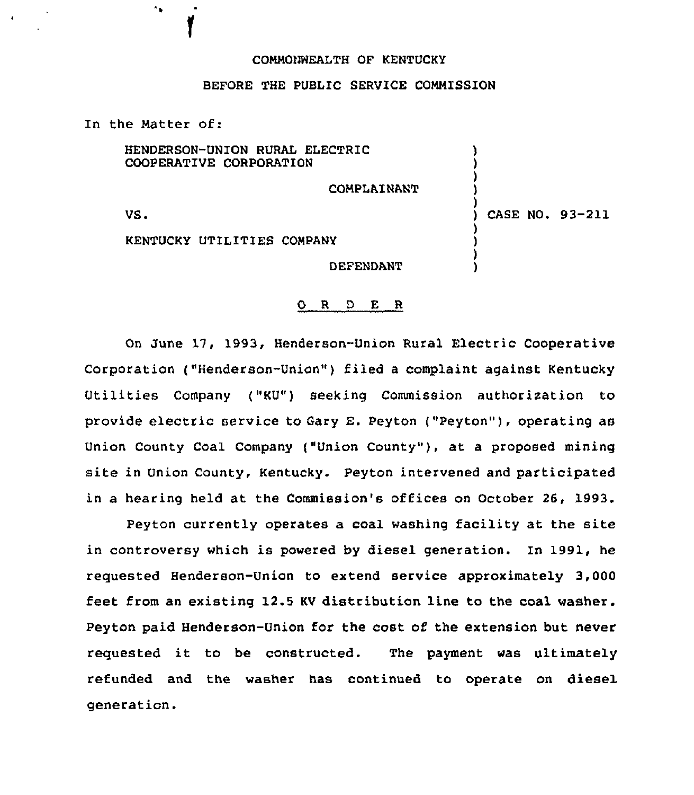## COMMO))HEALTH OF KENTUCKY

## BEFORE THE PUBLIC SERVICE COMMISSION

In the Matter of:

 $\gamma_{\rm{p}}$ 

VS. COMPLAINANT KENTUCKY UTILITIES COMPANY HENDERSON-UNION RURAL ELECTRIC COOPERATIVE CORPORATION ) ) ) ) ) ) CASE NO. 93-211 )

DEFENDANT

) )

## 0 <sup>R</sup> <sup>D</sup> E <sup>R</sup>

On June 17, 1993, Henderson-Union Rural Electric Cooperative Corporation ("Henderson-Union" ) filed <sup>a</sup> complaint against Kentucky Utilities Company ("KU") seeking Commission authorixation to provide electric service to Gary E. Peyton ("Peyton" ), operating as Union County Coal Company ("Union County" ), at <sup>a</sup> proposed mining site in Union County, Kentucky. Peyton intervened and participated in a hearing held at the Commission's offices on October 26, 1993.

Peyton currently operates a coal washing facility at the site in controversy which is powered by diesel generation. In 1991, he requested Henderson-Union to extend service approximately 3,000 feet from an existing 12.5 KV distribution line to the coal washer. Peyton paid Henderson-Union for the cost of the extension but never requested it to be constructed. The payment was ultimately refunded and the washer has continued to operate on diesel generation.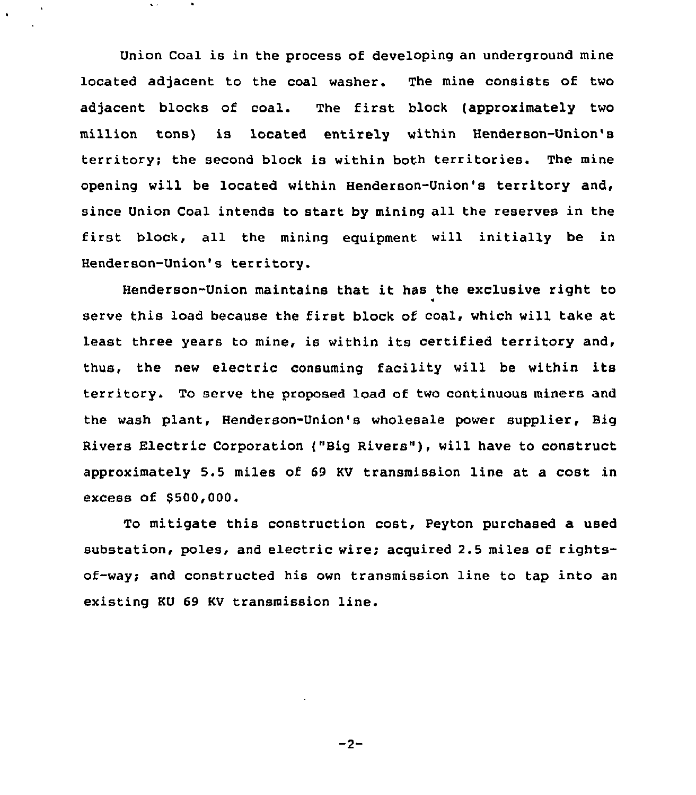Union Coal is in the process of developing an underground mine located adjacent to the coal washer. The mine consists of two adjacent blocks of coal. The first block (approximately two million tons) is located entirely within Henderson-Union's territory; the second block is within both territories. The mine opening will be located within Henderson-Union's territory and, since Union Coal intends to start by mining all the reserves in the first block, all the mining equipment will initially be in Henderson-Union's territory.

Henderson-Union maintains that it has the exclusive right to serve this load because the first block of coal, which will take at least three years to mine, is within its certified territory and, thus, the new electric consuming facility will be within its territory. To serve the proposed load of two continuous miners and the wash plant, Henderson-Union's wholesale power supplier, Big Rivers Electric Corporation ("Big Rivers" ), will have to construct approximately 5.5 miles of 69 KV transmission line at a cost in excess of \$500,000.

To mitigate this construction cost, Peyton purchased a used substation, poles, and electric wire; acquired 2.5 miles of rightsof-way; and constructed his own transmission line to tap into an existing KU 69 KV transmission line.

 $-2-$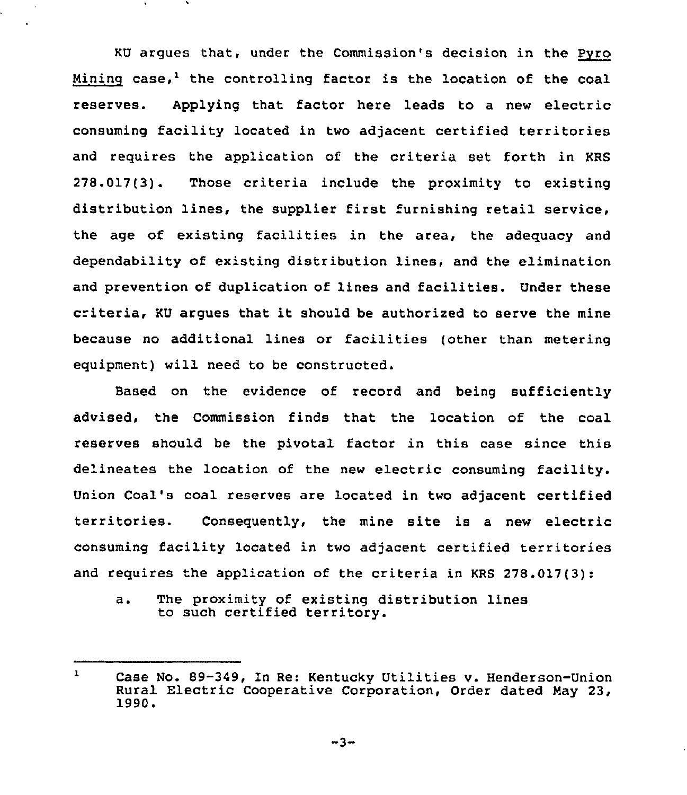KU argues that, under the Commission's decision in the Pyro Mining case,<sup>1</sup> the controlling factor is the location of the coal reserves. Applying that factor here leads to a new electric consuming facility located in two adjacent certified territories and requires the application of the criteria set forth in KRS 278.017(3). Those criteria include the proximity to existing distribution lines, the supplier first furnishing retail service, the age of existing facilities in the area, the adequacy and dependability of existing distribution lines, and the elimination and prevention of duplication of lines and facilities. Under these criteria, KU argues that it should be authorized to serve the mine because no additional lines or facilities (other than metering equipment) will need to be constructed.

Based on the evidence of record and being sufficiently advised, the Commission finds that the location of the coal reserves should be the pivotal factor in this case since this delineates the location of the new electric consuming facility. Union Coal's coal reserves are located in two adjacent certified territories. Consequently, the mine site is <sup>a</sup> new electric consuming facility located in two adjacent certified territories and requires the application of the criteria in KRS 278.017(3):

a. The proximity of existing distribution lines to such certified territory.

 $\mathbf{r}$ Case No. 89-349, In Re: Kentucky Utilities v. Henderson-Union Rural Electric Cooperative Corporation, Order dated Hay 23, 1990.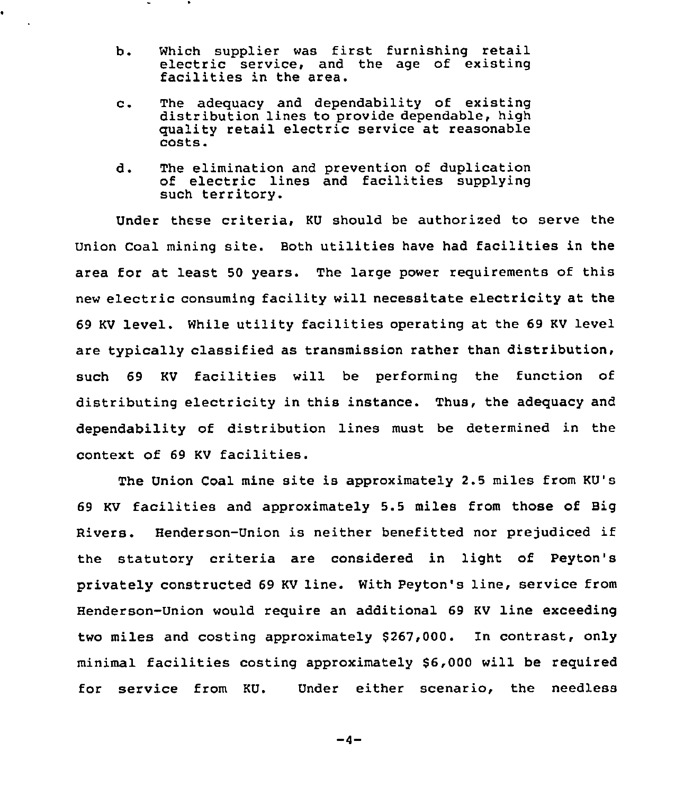b. Which supplier was first furnishing retail electric service, and the age of existing facilities in the area.

 $\bullet$ 

- The adequacy and dependability of existin  $c_{\star}$ distribution lines to provide dependable, high quality retail electric service at reasonable costs.
- d. The elimination and prevention of duplication of electric lines and facilities supplying such territory.

Under these criteria, KU should be authorized to serve the Union Coal mining site. Both utilities have had facilities in the area for at least 50 years. The large power requirements of this new electric consuming facility will necessitate electricity at the 69 KV level. While utility facilities operating at the 69 KV level are typically classified as transmission rather than distribution, such 69 KV facilities will be performing the function of distributing electricity in this instance. Thus, the adequacy and dependability of distribution lines must be determined in the context of <sup>69</sup> KV facilities.

The Union Coal mine site is approximately 2.5 miles from KU's <sup>69</sup> KV facilities and approximately 5.5 miles from those of Big Rivers. Henderson-Union is neither benefitted nor prejudiced if the statutory criteria are considered in light of Peyton' privately constructed 69 KV line. With Peyton's line, service from Henderson-Union would require an additional 69 KV line exceeding two miles and costing approximately \$267,000. In contrast, only minimal facilities costing approximately \$6,000 will be required for service from KU. Under either scenario, the needless

 $-4-$